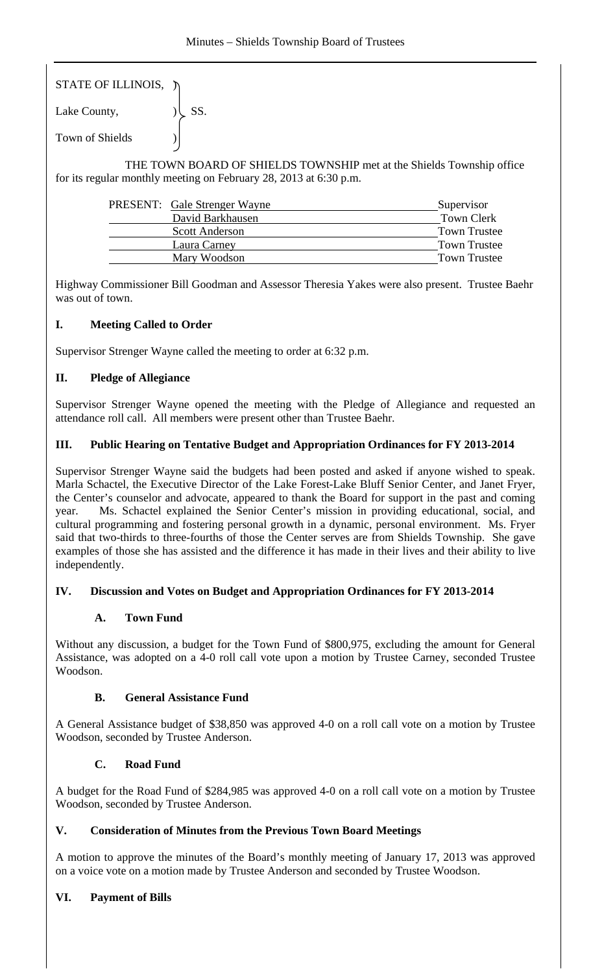STATE OF ILLINOIS, )

Lake County,  $|\text{SS}|$ . Town of Shields )

 THE TOWN BOARD OF SHIELDS TOWNSHIP met at the Shields Township office for its regular monthly meeting on February 28, 2013 at 6:30 p.m.

| <b>PRESENT:</b> Gale Strenger Wayne | Supervisor          |
|-------------------------------------|---------------------|
| David Barkhausen                    | Town Clerk          |
| <b>Scott Anderson</b>               | <b>Town Trustee</b> |
| Laura Carney                        | <b>Town Trustee</b> |
| Mary Woodson                        | <b>Town Trustee</b> |

Highway Commissioner Bill Goodman and Assessor Theresia Yakes were also present. Trustee Baehr was out of town.

## **I. Meeting Called to Order**

Supervisor Strenger Wayne called the meeting to order at 6:32 p.m.

# **II. Pledge of Allegiance**

Supervisor Strenger Wayne opened the meeting with the Pledge of Allegiance and requested an attendance roll call. All members were present other than Trustee Baehr.

## **III. Public Hearing on Tentative Budget and Appropriation Ordinances for FY 2013-2014**

Supervisor Strenger Wayne said the budgets had been posted and asked if anyone wished to speak. Marla Schactel, the Executive Director of the Lake Forest-Lake Bluff Senior Center, and Janet Fryer, the Center's counselor and advocate, appeared to thank the Board for support in the past and coming year. Ms. Schactel explained the Senior Center's mission in providing educational, social, and cultural programming and fostering personal growth in a dynamic, personal environment. Ms. Fryer said that two-thirds to three-fourths of those the Center serves are from Shields Township. She gave examples of those she has assisted and the difference it has made in their lives and their ability to live independently.

## **IV. Discussion and Votes on Budget and Appropriation Ordinances for FY 2013-2014**

## **A. Town Fund**

Without any discussion, a budget for the Town Fund of \$800,975, excluding the amount for General Assistance, was adopted on a 4-0 roll call vote upon a motion by Trustee Carney, seconded Trustee Woodson.

## **B. General Assistance Fund**

A General Assistance budget of \$38,850 was approved 4-0 on a roll call vote on a motion by Trustee Woodson, seconded by Trustee Anderson.

## **C. Road Fund**

A budget for the Road Fund of \$284,985 was approved 4-0 on a roll call vote on a motion by Trustee Woodson, seconded by Trustee Anderson.

## **V. Consideration of Minutes from the Previous Town Board Meetings**

A motion to approve the minutes of the Board's monthly meeting of January 17, 2013 was approved on a voice vote on a motion made by Trustee Anderson and seconded by Trustee Woodson.

# **VI. Payment of Bills**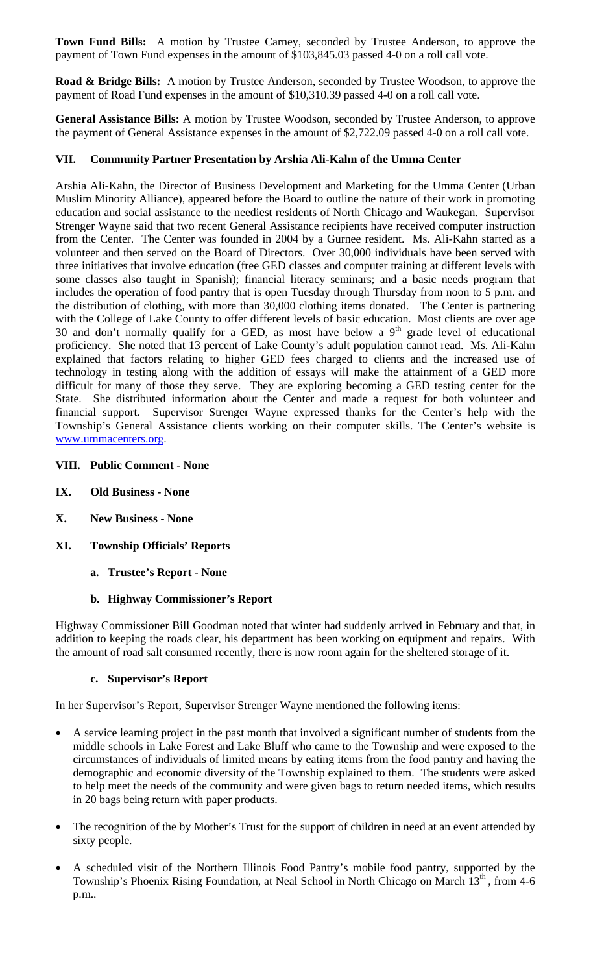**Town Fund Bills:** A motion by Trustee Carney, seconded by Trustee Anderson, to approve the payment of Town Fund expenses in the amount of \$103,845.03 passed 4-0 on a roll call vote.

**Road & Bridge Bills:** A motion by Trustee Anderson, seconded by Trustee Woodson, to approve the payment of Road Fund expenses in the amount of \$10,310.39 passed 4-0 on a roll call vote.

**General Assistance Bills:** A motion by Trustee Woodson, seconded by Trustee Anderson, to approve the payment of General Assistance expenses in the amount of \$2,722.09 passed 4-0 on a roll call vote.

## **VII. Community Partner Presentation by Arshia Ali-Kahn of the Umma Center**

Arshia Ali-Kahn, the Director of Business Development and Marketing for the Umma Center (Urban Muslim Minority Alliance), appeared before the Board to outline the nature of their work in promoting education and social assistance to the neediest residents of North Chicago and Waukegan. Supervisor Strenger Wayne said that two recent General Assistance recipients have received computer instruction from the Center. The Center was founded in 2004 by a Gurnee resident. Ms. Ali-Kahn started as a volunteer and then served on the Board of Directors. Over 30,000 individuals have been served with three initiatives that involve education (free GED classes and computer training at different levels with some classes also taught in Spanish); financial literacy seminars; and a basic needs program that includes the operation of food pantry that is open Tuesday through Thursday from noon to 5 p.m. and the distribution of clothing, with more than 30,000 clothing items donated. The Center is partnering with the College of Lake County to offer different levels of basic education. Most clients are over age 30 and don't normally qualify for a GED, as most have below a  $9<sup>th</sup>$  grade level of educational proficiency. She noted that 13 percent of Lake County's adult population cannot read. Ms. Ali-Kahn explained that factors relating to higher GED fees charged to clients and the increased use of technology in testing along with the addition of essays will make the attainment of a GED more difficult for many of those they serve. They are exploring becoming a GED testing center for the State. She distributed information about the Center and made a request for both volunteer and financial support. Supervisor Strenger Wayne expressed thanks for the Center's help with the Township's General Assistance clients working on their computer skills. The Center's website is www.ummacenters.org.

#### **VIII. Public Comment - None**

- **IX. Old Business None**
- **X. New Business None**
- **XI. Township Officials' Reports** 
	- **a. Trustee's Report None**

#### **b. Highway Commissioner's Report**

Highway Commissioner Bill Goodman noted that winter had suddenly arrived in February and that, in addition to keeping the roads clear, his department has been working on equipment and repairs. With the amount of road salt consumed recently, there is now room again for the sheltered storage of it.

#### **c. Supervisor's Report**

In her Supervisor's Report, Supervisor Strenger Wayne mentioned the following items:

- A service learning project in the past month that involved a significant number of students from the middle schools in Lake Forest and Lake Bluff who came to the Township and were exposed to the circumstances of individuals of limited means by eating items from the food pantry and having the demographic and economic diversity of the Township explained to them. The students were asked to help meet the needs of the community and were given bags to return needed items, which results in 20 bags being return with paper products.
- The recognition of the by Mother's Trust for the support of children in need at an event attended by sixty people.
- A scheduled visit of the Northern Illinois Food Pantry's mobile food pantry, supported by the Township's Phoenix Rising Foundation, at Neal School in North Chicago on March 13<sup>th</sup>, from 4-6 p.m..